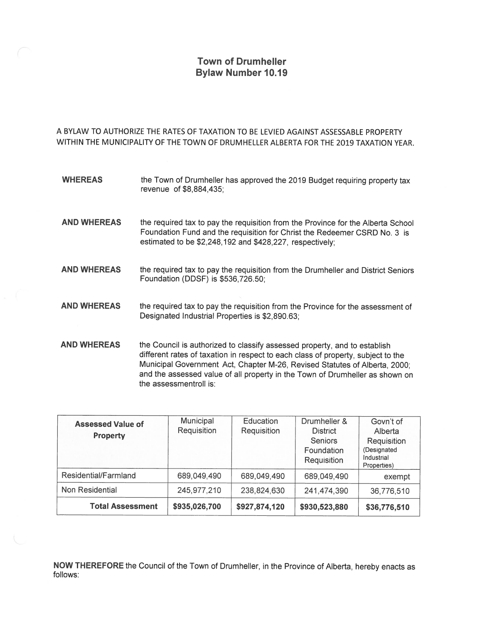## **Town of Drumheller Bylaw Number 10.19**

A BYLAW TO AUTHORIZE THE RATES OF TAXATION TO BE LEVIED AGAINST ASSESSABLE PROPERTY WITHIN THE MUNICIPALITY OF THE TOWN OF DRUMHELLER ALBERTA FOR THE 2019 TAXATION YEAR.

| <b>WHEREAS</b>     | the Town of Drumheller has approved the 2019 Budget requiring property tax<br>revenue of \$8,884,435;                                                                                                                                                                                                                       |
|--------------------|-----------------------------------------------------------------------------------------------------------------------------------------------------------------------------------------------------------------------------------------------------------------------------------------------------------------------------|
| <b>AND WHEREAS</b> | the required tax to pay the requisition from the Province for the Alberta School<br>Foundation Fund and the requisition for Christ the Redeemer CSRD No. 3 is<br>estimated to be \$2,248,192 and \$428,227, respectively;                                                                                                   |
| <b>AND WHEREAS</b> | the required tax to pay the requisition from the Drumheller and District Seniors<br>Foundation (DDSF) is \$536,726.50;                                                                                                                                                                                                      |
| <b>AND WHEREAS</b> | the required tax to pay the requisition from the Province for the assessment of<br>Designated Industrial Properties is \$2,890.63;                                                                                                                                                                                          |
| <b>AND WHEREAS</b> | the Council is authorized to classify assessed property, and to establish<br>different rates of taxation in respect to each class of property, subject to the<br>Municipal Government Act, Chapter M-26, Revised Statutes of Alberta, 2000;<br>and the assessed value of all property in the Town of Drumheller as shown on |

| <b>Assessed Value of</b><br>Property | Municipal<br>Requisition | Education<br>Requisition | Drumheller &<br><b>District</b><br><b>Seniors</b><br>Foundation<br>Requisition | Govn't of<br>Alberta<br>Requisition<br>(Designated<br>Industrial<br>Properties) |
|--------------------------------------|--------------------------|--------------------------|--------------------------------------------------------------------------------|---------------------------------------------------------------------------------|
| Residential/Farmland                 | 689,049,490              | 689,049,490              | 689,049,490                                                                    | exempt                                                                          |
| Non Residential                      | 245,977,210              | 238,824,630              | 241,474,390                                                                    | 36,776,510                                                                      |
| <b>Total Assessment</b>              | \$935,026,700            | \$927,874,120            | \$930,523,880                                                                  | \$36,776,510                                                                    |

the assessmentroll is:

NOW THEREFORE the Council of the Town of Drumheller, in the Province of Alberta, hereby enacts as follows: